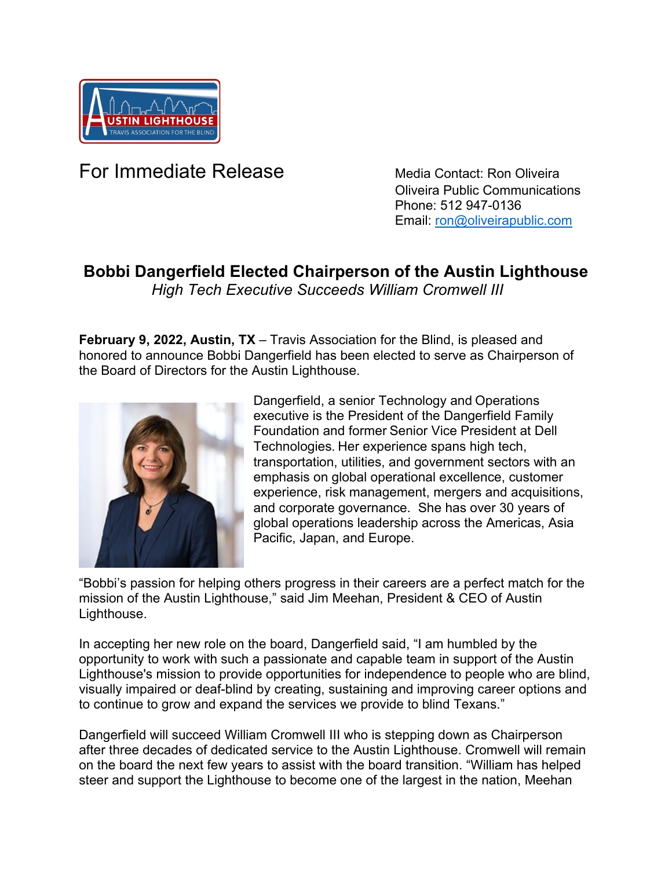

## **For Immediate Release** Media Contact: Ron Oliveira

 Oliveira Public Communications Phone: 512 947-0136 Email: [ron@oliveirapublic.com](mailto:ron@oliveirapublic.com)

## **Bobbi Dangerfield Elected Chairperson of the Austin Lighthouse**

*High Tech Executive Succeeds William Cromwell III*

**February 9, 2022, Austin, TX** – Travis Association for the Blind, is pleased and honored to announce Bobbi Dangerfield has been elected to serve as Chairperson of the Board of Directors for the Austin Lighthouse.



Dangerfield, a senior Technology and Operations executive is the President of the Dangerfield Family Foundation and former Senior Vice President at Dell Technologies. Her experience spans high tech, transportation, utilities, and government sectors with an emphasis on global operational excellence, customer experience, risk management, mergers and acquisitions, and corporate governance. She has over 30 years of global operations leadership across the Americas, Asia Pacific, Japan, and Europe.

"Bobbi's passion for helping others progress in their careers are a perfect match for the mission of the Austin Lighthouse," said Jim Meehan, President & CEO of Austin Lighthouse.

In accepting her new role on the board, Dangerfield said, "I am humbled by the opportunity to work with such a passionate and capable team in support of the Austin Lighthouse's mission to provide opportunities for independence to people who are blind, visually impaired or deaf-blind by creating, sustaining and improving career options and to continue to grow and expand the services we provide to blind Texans."

Dangerfield will succeed William Cromwell III who is stepping down as Chairperson after three decades of dedicated service to the Austin Lighthouse. Cromwell will remain on the board the next few years to assist with the board transition. "William has helped steer and support the Lighthouse to become one of the largest in the nation, Meehan